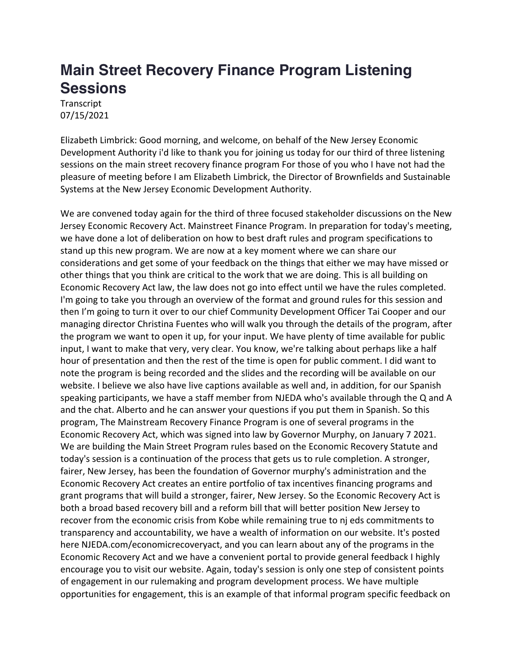## **Main Street Recovery Finance Program Listening Sessions**

**Transcript** 07/15/2021

Elizabeth Limbrick: Good morning, and welcome, on behalf of the New Jersey Economic Development Authority i'd like to thank you for joining us today for our third of three listening sessions on the main street recovery finance program For those of you who I have not had the pleasure of meeting before I am Elizabeth Limbrick, the Director of Brownfields and Sustainable Systems at the New Jersey Economic Development Authority.

We are convened today again for the third of three focused stakeholder discussions on the New Jersey Economic Recovery Act. Mainstreet Finance Program. In preparation for today's meeting, we have done a lot of deliberation on how to best draft rules and program specifications to stand up this new program. We are now at a key moment where we can share our considerations and get some of your feedback on the things that either we may have missed or other things that you think are critical to the work that we are doing. This is all building on Economic Recovery Act law, the law does not go into effect until we have the rules completed. I'm going to take you through an overview of the format and ground rules for this session and then I'm going to turn it over to our chief Community Development Officer Tai Cooper and our managing director Christina Fuentes who will walk you through the details of the program, after the program we want to open it up, for your input. We have plenty of time available for public input, I want to make that very, very clear. You know, we're talking about perhaps like a half hour of presentation and then the rest of the time is open for public comment. I did want to note the program is being recorded and the slides and the recording will be available on our website. I believe we also have live captions available as well and, in addition, for our Spanish speaking participants, we have a staff member from NJEDA who's available through the Q and A and the chat. Alberto and he can answer your questions if you put them in Spanish. So this program, The Mainstream Recovery Finance Program is one of several programs in the Economic Recovery Act, which was signed into law by Governor Murphy, on January 7 2021. We are building the Main Street Program rules based on the Economic Recovery Statute and today's session is a continuation of the process that gets us to rule completion. A stronger, fairer, New Jersey, has been the foundation of Governor murphy's administration and the Economic Recovery Act creates an entire portfolio of tax incentives financing programs and grant programs that will build a stronger, fairer, New Jersey. So the Economic Recovery Act is both a broad based recovery bill and a reform bill that will better position New Jersey to recover from the economic crisis from Kobe while remaining true to nj eds commitments to transparency and accountability, we have a wealth of information on our website. It's posted here NJEDA.com/economicrecoveryact, and you can learn about any of the programs in the Economic Recovery Act and we have a convenient portal to provide general feedback I highly encourage you to visit our website. Again, today's session is only one step of consistent points of engagement in our rulemaking and program development process. We have multiple opportunities for engagement, this is an example of that informal program specific feedback on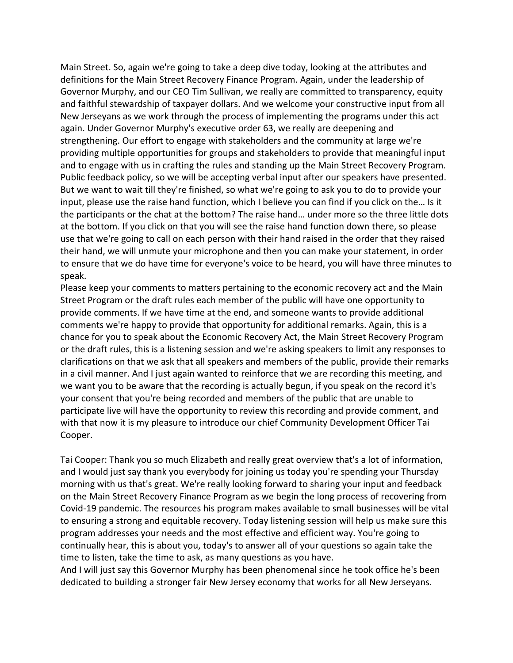Main Street. So, again we're going to take a deep dive today, looking at the attributes and definitions for the Main Street Recovery Finance Program. Again, under the leadership of Governor Murphy, and our CEO Tim Sullivan, we really are committed to transparency, equity and faithful stewardship of taxpayer dollars. And we welcome your constructive input from all New Jerseyans as we work through the process of implementing the programs under this act again. Under Governor Murphy's executive order 63, we really are deepening and strengthening. Our effort to engage with stakeholders and the community at large we're providing multiple opportunities for groups and stakeholders to provide that meaningful input and to engage with us in crafting the rules and standing up the Main Street Recovery Program. Public feedback policy, so we will be accepting verbal input after our speakers have presented. But we want to wait till they're finished, so what we're going to ask you to do to provide your input, please use the raise hand function, which I believe you can find if you click on the… Is it the participants or the chat at the bottom? The raise hand… under more so the three little dots at the bottom. If you click on that you will see the raise hand function down there, so please use that we're going to call on each person with their hand raised in the order that they raised their hand, we will unmute your microphone and then you can make your statement, in order to ensure that we do have time for everyone's voice to be heard, you will have three minutes to speak.

Please keep your comments to matters pertaining to the economic recovery act and the Main Street Program or the draft rules each member of the public will have one opportunity to provide comments. If we have time at the end, and someone wants to provide additional comments we're happy to provide that opportunity for additional remarks. Again, this is a chance for you to speak about the Economic Recovery Act, the Main Street Recovery Program or the draft rules, this is a listening session and we're asking speakers to limit any responses to clarifications on that we ask that all speakers and members of the public, provide their remarks in a civil manner. And I just again wanted to reinforce that we are recording this meeting, and we want you to be aware that the recording is actually begun, if you speak on the record it's your consent that you're being recorded and members of the public that are unable to participate live will have the opportunity to review this recording and provide comment, and with that now it is my pleasure to introduce our chief Community Development Officer Tai Cooper.

Tai Cooper: Thank you so much Elizabeth and really great overview that's a lot of information, and I would just say thank you everybody for joining us today you're spending your Thursday morning with us that's great. We're really looking forward to sharing your input and feedback on the Main Street Recovery Finance Program as we begin the long process of recovering from Covid-19 pandemic. The resources his program makes available to small businesses will be vital to ensuring a strong and equitable recovery. Today listening session will help us make sure this program addresses your needs and the most effective and efficient way. You're going to continually hear, this is about you, today's to answer all of your questions so again take the time to listen, take the time to ask, as many questions as you have.

And I will just say this Governor Murphy has been phenomenal since he took office he's been dedicated to building a stronger fair New Jersey economy that works for all New Jerseyans.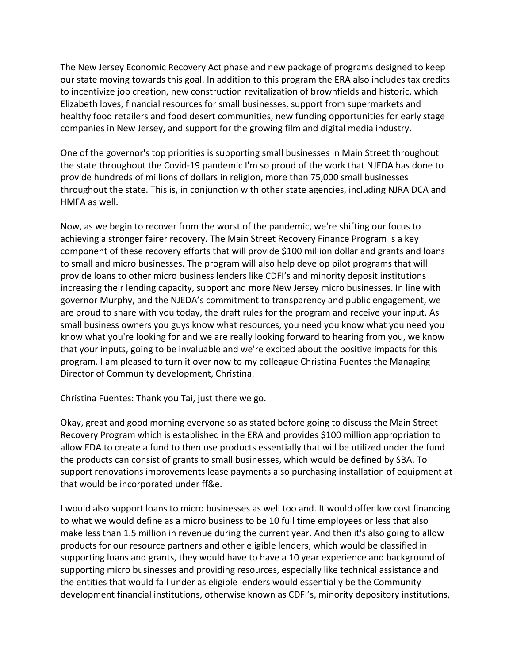The New Jersey Economic Recovery Act phase and new package of programs designed to keep our state moving towards this goal. In addition to this program the ERA also includes tax credits to incentivize job creation, new construction revitalization of brownfields and historic, which Elizabeth loves, financial resources for small businesses, support from supermarkets and healthy food retailers and food desert communities, new funding opportunities for early stage companies in New Jersey, and support for the growing film and digital media industry.

One of the governor's top priorities is supporting small businesses in Main Street throughout the state throughout the Covid-19 pandemic I'm so proud of the work that NJEDA has done to provide hundreds of millions of dollars in religion, more than 75,000 small businesses throughout the state. This is, in conjunction with other state agencies, including NJRA DCA and HMFA as well.

Now, as we begin to recover from the worst of the pandemic, we're shifting our focus to achieving a stronger fairer recovery. The Main Street Recovery Finance Program is a key component of these recovery efforts that will provide \$100 million dollar and grants and loans to small and micro businesses. The program will also help develop pilot programs that will provide loans to other micro business lenders like CDFI's and minority deposit institutions increasing their lending capacity, support and more New Jersey micro businesses. In line with governor Murphy, and the NJEDA's commitment to transparency and public engagement, we are proud to share with you today, the draft rules for the program and receive your input. As small business owners you guys know what resources, you need you know what you need you know what you're looking for and we are really looking forward to hearing from you, we know that your inputs, going to be invaluable and we're excited about the positive impacts for this program. I am pleased to turn it over now to my colleague Christina Fuentes the Managing Director of Community development, Christina.

Christina Fuentes: Thank you Tai, just there we go.

Okay, great and good morning everyone so as stated before going to discuss the Main Street Recovery Program which is established in the ERA and provides \$100 million appropriation to allow EDA to create a fund to then use products essentially that will be utilized under the fund the products can consist of grants to small businesses, which would be defined by SBA. To support renovations improvements lease payments also purchasing installation of equipment at that would be incorporated under ff&e.

I would also support loans to micro businesses as well too and. It would offer low cost financing to what we would define as a micro business to be 10 full time employees or less that also make less than 1.5 million in revenue during the current year. And then it's also going to allow products for our resource partners and other eligible lenders, which would be classified in supporting loans and grants, they would have to have a 10 year experience and background of supporting micro businesses and providing resources, especially like technical assistance and the entities that would fall under as eligible lenders would essentially be the Community development financial institutions, otherwise known as CDFI's, minority depository institutions,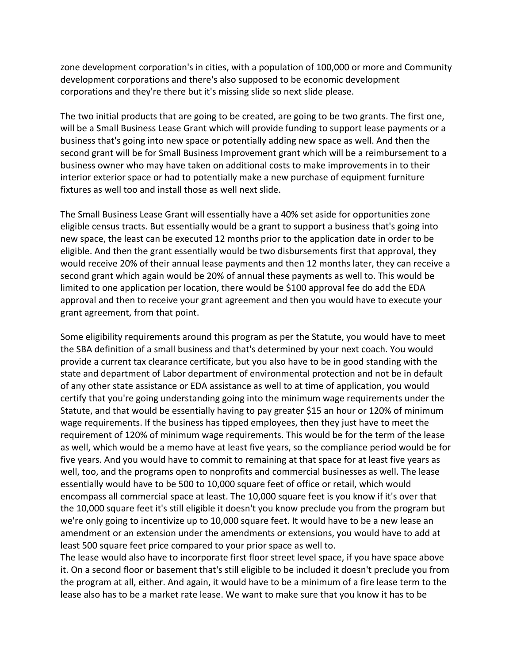zone development corporation's in cities, with a population of 100,000 or more and Community development corporations and there's also supposed to be economic development corporations and they're there but it's missing slide so next slide please.

The two initial products that are going to be created, are going to be two grants. The first one, will be a Small Business Lease Grant which will provide funding to support lease payments or a business that's going into new space or potentially adding new space as well. And then the second grant will be for Small Business Improvement grant which will be a reimbursement to a business owner who may have taken on additional costs to make improvements in to their interior exterior space or had to potentially make a new purchase of equipment furniture fixtures as well too and install those as well next slide.

The Small Business Lease Grant will essentially have a 40% set aside for opportunities zone eligible census tracts. But essentially would be a grant to support a business that's going into new space, the least can be executed 12 months prior to the application date in order to be eligible. And then the grant essentially would be two disbursements first that approval, they would receive 20% of their annual lease payments and then 12 months later, they can receive a second grant which again would be 20% of annual these payments as well to. This would be limited to one application per location, there would be \$100 approval fee do add the EDA approval and then to receive your grant agreement and then you would have to execute your grant agreement, from that point.

Some eligibility requirements around this program as per the Statute, you would have to meet the SBA definition of a small business and that's determined by your next coach. You would provide a current tax clearance certificate, but you also have to be in good standing with the state and department of Labor department of environmental protection and not be in default of any other state assistance or EDA assistance as well to at time of application, you would certify that you're going understanding going into the minimum wage requirements under the Statute, and that would be essentially having to pay greater \$15 an hour or 120% of minimum wage requirements. If the business has tipped employees, then they just have to meet the requirement of 120% of minimum wage requirements. This would be for the term of the lease as well, which would be a memo have at least five years, so the compliance period would be for five years. And you would have to commit to remaining at that space for at least five years as well, too, and the programs open to nonprofits and commercial businesses as well. The lease essentially would have to be 500 to 10,000 square feet of office or retail, which would encompass all commercial space at least. The 10,000 square feet is you know if it's over that the 10,000 square feet it's still eligible it doesn't you know preclude you from the program but we're only going to incentivize up to 10,000 square feet. It would have to be a new lease an amendment or an extension under the amendments or extensions, you would have to add at least 500 square feet price compared to your prior space as well to.

The lease would also have to incorporate first floor street level space, if you have space above it. On a second floor or basement that's still eligible to be included it doesn't preclude you from the program at all, either. And again, it would have to be a minimum of a fire lease term to the lease also has to be a market rate lease. We want to make sure that you know it has to be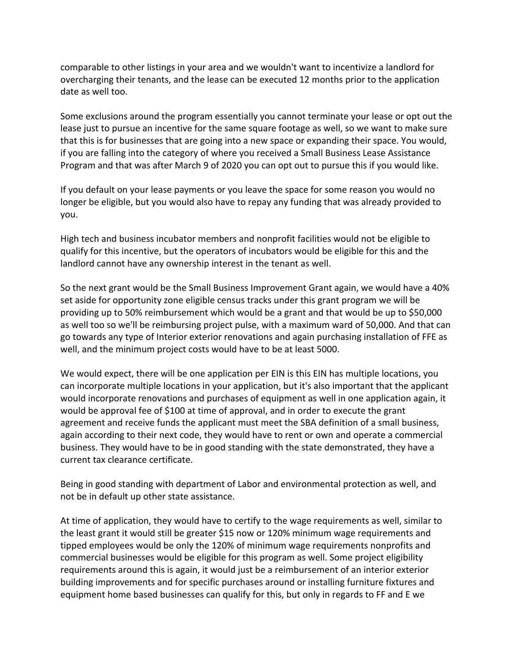comparable to other listings in your area and we wouldn't want to incentivize a landlord for overcharging their tenants, and the lease can be executed 12 months prior to the application date as well too.

Some exclusions around the program essentially you cannot terminate your lease or opt out the lease just to pursue an incentive for the same square footage as well, so we want to make sure that this is for businesses that are going into a new space or expanding their space. You would, if you are falling into the category of where you received a Small Business Lease Assistance Program and that was after March 9 of 2020 you can opt out to pursue this if you would like.

If you default on your lease payments or you leave the space for some reason you would no longer be eligible, but you would also have to repay any funding that was already provided to you.

High tech and business incubator members and nonprofit facilities would not be eligible to qualify for this incentive, but the operators of incubators would be eligible for this and the landlord cannot have any ownership interest in the tenant as well.

So the next grant would be the Small Business Improvement Grant again, we would have a 40% set aside for opportunity zone eligible census tracks under this grant program we will be providing up to 50% reimbursement which would be a grant and that would be up to \$50,000 as well too so we'll be reimbursing project pulse, with a maximum ward of 50,000. And that can go towards any type of Interior exterior renovations and again purchasing installation of FFE as well, and the minimum project costs would have to be at least 5000.

We would expect, there will be one application per EIN is this EIN has multiple locations, you can incorporate multiple locations in your application, but it's also important that the applicant would incorporate renovations and purchases of equipment as well in one application again, it would be approval fee of \$100 at time of approval, and in order to execute the grant agreement and receive funds the applicant must meet the SBA definition of a small business, again according to their next code, they would have to rent or own and operate a commercial business. They would have to be in good standing with the state demonstrated, they have a current tax clearance certificate.

Being in good standing with department of Labor and environmental protection as well, and not be in default up other state assistance.

At time of application, they would have to certify to the wage requirements as well, similar to the least grant it would still be greater \$15 now or 120% minimum wage requirements and tipped employees would be only the 120% of minimum wage requirements nonprofits and commercial businesses would be eligible for this program as well. Some project eligibility requirements around this is again, it would just be a reimbursement of an interior exterior building improvements and for specific purchases around or installing furniture fixtures and equipment home based businesses can qualify for this, but only in regards to FF and E we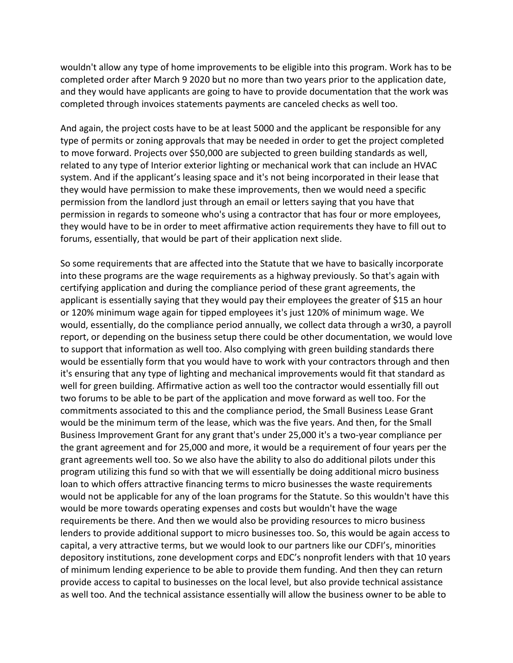wouldn't allow any type of home improvements to be eligible into this program. Work has to be completed order after March 9 2020 but no more than two years prior to the application date, and they would have applicants are going to have to provide documentation that the work was completed through invoices statements payments are canceled checks as well too.

And again, the project costs have to be at least 5000 and the applicant be responsible for any type of permits or zoning approvals that may be needed in order to get the project completed to move forward. Projects over \$50,000 are subjected to green building standards as well, related to any type of Interior exterior lighting or mechanical work that can include an HVAC system. And if the applicant's leasing space and it's not being incorporated in their lease that they would have permission to make these improvements, then we would need a specific permission from the landlord just through an email or letters saying that you have that permission in regards to someone who's using a contractor that has four or more employees, they would have to be in order to meet affirmative action requirements they have to fill out to forums, essentially, that would be part of their application next slide.

So some requirements that are affected into the Statute that we have to basically incorporate into these programs are the wage requirements as a highway previously. So that's again with certifying application and during the compliance period of these grant agreements, the applicant is essentially saying that they would pay their employees the greater of \$15 an hour or 120% minimum wage again for tipped employees it's just 120% of minimum wage. We would, essentially, do the compliance period annually, we collect data through a wr30, a payroll report, or depending on the business setup there could be other documentation, we would love to support that information as well too. Also complying with green building standards there would be essentially form that you would have to work with your contractors through and then it's ensuring that any type of lighting and mechanical improvements would fit that standard as well for green building. Affirmative action as well too the contractor would essentially fill out two forums to be able to be part of the application and move forward as well too. For the commitments associated to this and the compliance period, the Small Business Lease Grant would be the minimum term of the lease, which was the five years. And then, for the Small Business Improvement Grant for any grant that's under 25,000 it's a two-year compliance per the grant agreement and for 25,000 and more, it would be a requirement of four years per the grant agreements well too. So we also have the ability to also do additional pilots under this program utilizing this fund so with that we will essentially be doing additional micro business loan to which offers attractive financing terms to micro businesses the waste requirements would not be applicable for any of the loan programs for the Statute. So this wouldn't have this would be more towards operating expenses and costs but wouldn't have the wage requirements be there. And then we would also be providing resources to micro business lenders to provide additional support to micro businesses too. So, this would be again access to capital, a very attractive terms, but we would look to our partners like our CDFI's, minorities depository institutions, zone development corps and EDC's nonprofit lenders with that 10 years of minimum lending experience to be able to provide them funding. And then they can return provide access to capital to businesses on the local level, but also provide technical assistance as well too. And the technical assistance essentially will allow the business owner to be able to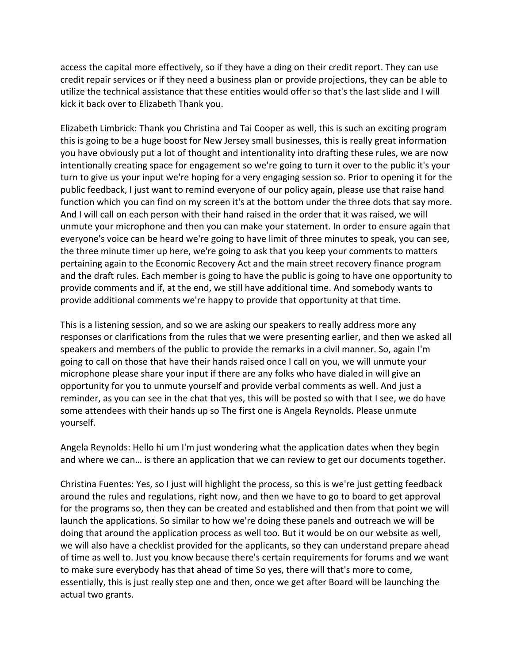access the capital more effectively, so if they have a ding on their credit report. They can use credit repair services or if they need a business plan or provide projections, they can be able to utilize the technical assistance that these entities would offer so that's the last slide and I will kick it back over to Elizabeth Thank you.

Elizabeth Limbrick: Thank you Christina and Tai Cooper as well, this is such an exciting program this is going to be a huge boost for New Jersey small businesses, this is really great information you have obviously put a lot of thought and intentionality into drafting these rules, we are now intentionally creating space for engagement so we're going to turn it over to the public it's your turn to give us your input we're hoping for a very engaging session so. Prior to opening it for the public feedback, I just want to remind everyone of our policy again, please use that raise hand function which you can find on my screen it's at the bottom under the three dots that say more. And I will call on each person with their hand raised in the order that it was raised, we will unmute your microphone and then you can make your statement. In order to ensure again that everyone's voice can be heard we're going to have limit of three minutes to speak, you can see, the three minute timer up here, we're going to ask that you keep your comments to matters pertaining again to the Economic Recovery Act and the main street recovery finance program and the draft rules. Each member is going to have the public is going to have one opportunity to provide comments and if, at the end, we still have additional time. And somebody wants to provide additional comments we're happy to provide that opportunity at that time.

This is a listening session, and so we are asking our speakers to really address more any responses or clarifications from the rules that we were presenting earlier, and then we asked all speakers and members of the public to provide the remarks in a civil manner. So, again I'm going to call on those that have their hands raised once I call on you, we will unmute your microphone please share your input if there are any folks who have dialed in will give an opportunity for you to unmute yourself and provide verbal comments as well. And just a reminder, as you can see in the chat that yes, this will be posted so with that I see, we do have some attendees with their hands up so The first one is Angela Reynolds. Please unmute yourself.

Angela Reynolds: Hello hi um I'm just wondering what the application dates when they begin and where we can… is there an application that we can review to get our documents together.

Christina Fuentes: Yes, so I just will highlight the process, so this is we're just getting feedback around the rules and regulations, right now, and then we have to go to board to get approval for the programs so, then they can be created and established and then from that point we will launch the applications. So similar to how we're doing these panels and outreach we will be doing that around the application process as well too. But it would be on our website as well, we will also have a checklist provided for the applicants, so they can understand prepare ahead of time as well to. Just you know because there's certain requirements for forums and we want to make sure everybody has that ahead of time So yes, there will that's more to come, essentially, this is just really step one and then, once we get after Board will be launching the actual two grants.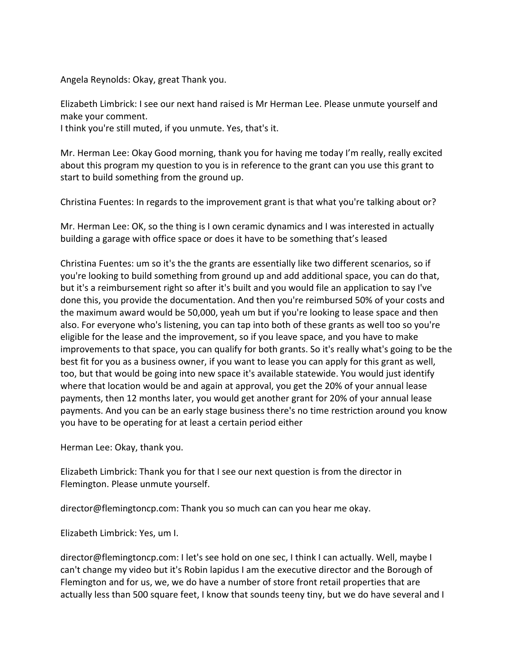Angela Reynolds: Okay, great Thank you.

Elizabeth Limbrick: I see our next hand raised is Mr Herman Lee. Please unmute yourself and make your comment.

I think you're still muted, if you unmute. Yes, that's it.

Mr. Herman Lee: Okay Good morning, thank you for having me today I'm really, really excited about this program my question to you is in reference to the grant can you use this grant to start to build something from the ground up.

Christina Fuentes: In regards to the improvement grant is that what you're talking about or?

Mr. Herman Lee: OK, so the thing is I own ceramic dynamics and I was interested in actually building a garage with office space or does it have to be something that's leased

Christina Fuentes: um so it's the the grants are essentially like two different scenarios, so if you're looking to build something from ground up and add additional space, you can do that, but it's a reimbursement right so after it's built and you would file an application to say I've done this, you provide the documentation. And then you're reimbursed 50% of your costs and the maximum award would be 50,000, yeah um but if you're looking to lease space and then also. For everyone who's listening, you can tap into both of these grants as well too so you're eligible for the lease and the improvement, so if you leave space, and you have to make improvements to that space, you can qualify for both grants. So it's really what's going to be the best fit for you as a business owner, if you want to lease you can apply for this grant as well, too, but that would be going into new space it's available statewide. You would just identify where that location would be and again at approval, you get the 20% of your annual lease payments, then 12 months later, you would get another grant for 20% of your annual lease payments. And you can be an early stage business there's no time restriction around you know you have to be operating for at least a certain period either

Herman Lee: Okay, thank you.

Elizabeth Limbrick: Thank you for that I see our next question is from the director in Flemington. Please unmute yourself.

director@flemingtoncp.com: Thank you so much can can you hear me okay.

Elizabeth Limbrick: Yes, um I.

director@flemingtoncp.com: I let's see hold on one sec, I think I can actually. Well, maybe I can't change my video but it's Robin lapidus I am the executive director and the Borough of Flemington and for us, we, we do have a number of store front retail properties that are actually less than 500 square feet, I know that sounds teeny tiny, but we do have several and I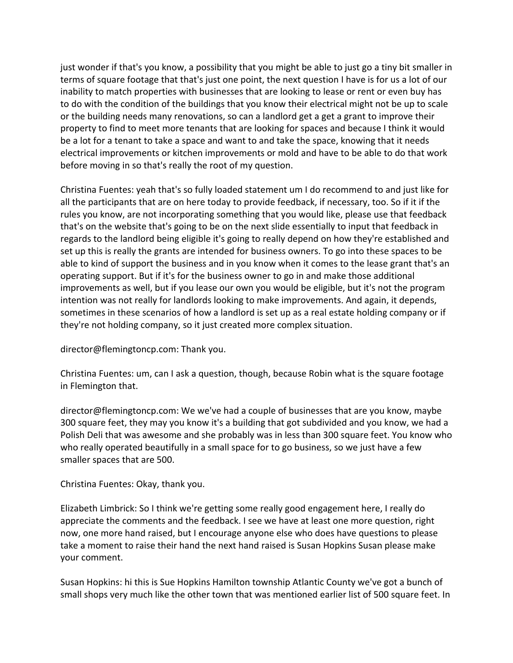just wonder if that's you know, a possibility that you might be able to just go a tiny bit smaller in terms of square footage that that's just one point, the next question I have is for us a lot of our inability to match properties with businesses that are looking to lease or rent or even buy has to do with the condition of the buildings that you know their electrical might not be up to scale or the building needs many renovations, so can a landlord get a get a grant to improve their property to find to meet more tenants that are looking for spaces and because I think it would be a lot for a tenant to take a space and want to and take the space, knowing that it needs electrical improvements or kitchen improvements or mold and have to be able to do that work before moving in so that's really the root of my question.

Christina Fuentes: yeah that's so fully loaded statement um I do recommend to and just like for all the participants that are on here today to provide feedback, if necessary, too. So if it if the rules you know, are not incorporating something that you would like, please use that feedback that's on the website that's going to be on the next slide essentially to input that feedback in regards to the landlord being eligible it's going to really depend on how they're established and set up this is really the grants are intended for business owners. To go into these spaces to be able to kind of support the business and in you know when it comes to the lease grant that's an operating support. But if it's for the business owner to go in and make those additional improvements as well, but if you lease our own you would be eligible, but it's not the program intention was not really for landlords looking to make improvements. And again, it depends, sometimes in these scenarios of how a landlord is set up as a real estate holding company or if they're not holding company, so it just created more complex situation.

director@flemingtoncp.com: Thank you.

Christina Fuentes: um, can I ask a question, though, because Robin what is the square footage in Flemington that.

director@flemingtoncp.com: We we've had a couple of businesses that are you know, maybe 300 square feet, they may you know it's a building that got subdivided and you know, we had a Polish Deli that was awesome and she probably was in less than 300 square feet. You know who who really operated beautifully in a small space for to go business, so we just have a few smaller spaces that are 500.

Christina Fuentes: Okay, thank you.

Elizabeth Limbrick: So I think we're getting some really good engagement here, I really do appreciate the comments and the feedback. I see we have at least one more question, right now, one more hand raised, but I encourage anyone else who does have questions to please take a moment to raise their hand the next hand raised is Susan Hopkins Susan please make your comment.

Susan Hopkins: hi this is Sue Hopkins Hamilton township Atlantic County we've got a bunch of small shops very much like the other town that was mentioned earlier list of 500 square feet. In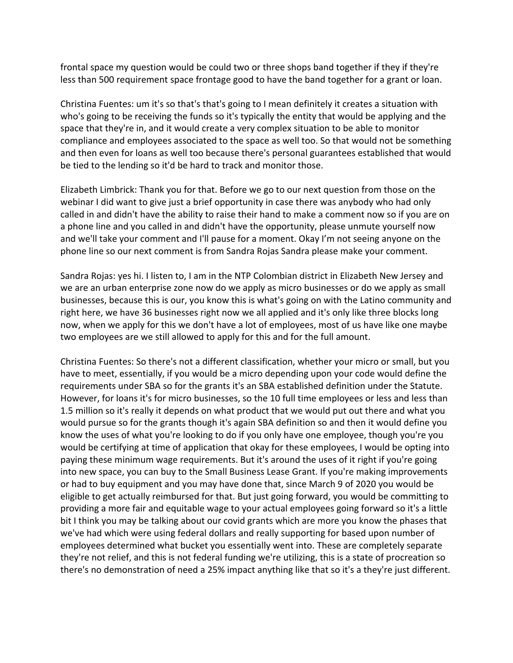frontal space my question would be could two or three shops band together if they if they're less than 500 requirement space frontage good to have the band together for a grant or loan.

Christina Fuentes: um it's so that's that's going to I mean definitely it creates a situation with who's going to be receiving the funds so it's typically the entity that would be applying and the space that they're in, and it would create a very complex situation to be able to monitor compliance and employees associated to the space as well too. So that would not be something and then even for loans as well too because there's personal guarantees established that would be tied to the lending so it'd be hard to track and monitor those.

Elizabeth Limbrick: Thank you for that. Before we go to our next question from those on the webinar I did want to give just a brief opportunity in case there was anybody who had only called in and didn't have the ability to raise their hand to make a comment now so if you are on a phone line and you called in and didn't have the opportunity, please unmute yourself now and we'll take your comment and I'll pause for a moment. Okay I'm not seeing anyone on the phone line so our next comment is from Sandra Rojas Sandra please make your comment.

Sandra Rojas: yes hi. I listen to, I am in the NTP Colombian district in Elizabeth New Jersey and we are an urban enterprise zone now do we apply as micro businesses or do we apply as small businesses, because this is our, you know this is what's going on with the Latino community and right here, we have 36 businesses right now we all applied and it's only like three blocks long now, when we apply for this we don't have a lot of employees, most of us have like one maybe two employees are we still allowed to apply for this and for the full amount.

Christina Fuentes: So there's not a different classification, whether your micro or small, but you have to meet, essentially, if you would be a micro depending upon your code would define the requirements under SBA so for the grants it's an SBA established definition under the Statute. However, for loans it's for micro businesses, so the 10 full time employees or less and less than 1.5 million so it's really it depends on what product that we would put out there and what you would pursue so for the grants though it's again SBA definition so and then it would define you know the uses of what you're looking to do if you only have one employee, though you're you would be certifying at time of application that okay for these employees, I would be opting into paying these minimum wage requirements. But it's around the uses of it right if you're going into new space, you can buy to the Small Business Lease Grant. If you're making improvements or had to buy equipment and you may have done that, since March 9 of 2020 you would be eligible to get actually reimbursed for that. But just going forward, you would be committing to providing a more fair and equitable wage to your actual employees going forward so it's a little bit I think you may be talking about our covid grants which are more you know the phases that we've had which were using federal dollars and really supporting for based upon number of employees determined what bucket you essentially went into. These are completely separate they're not relief, and this is not federal funding we're utilizing, this is a state of procreation so there's no demonstration of need a 25% impact anything like that so it's a they're just different.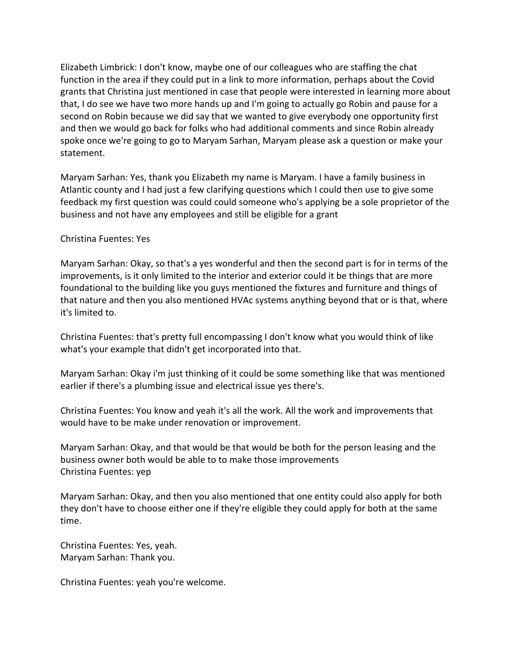Elizabeth Limbrick: I don't know, maybe one of our colleagues who are staffing the chat function in the area if they could put in a link to more information, perhaps about the Covid grants that Christina just mentioned in case that people were interested in learning more about that, I do see we have two more hands up and I'm going to actually go Robin and pause for a second on Robin because we did say that we wanted to give everybody one opportunity first and then we would go back for folks who had additional comments and since Robin already spoke once we're going to go to Maryam Sarhan, Maryam please ask a question or make your statement.

Maryam Sarhan: Yes, thank you Elizabeth my name is Maryam. I have a family business in Atlantic county and I had just a few clarifying questions which I could then use to give some feedback my first question was could could someone who's applying be a sole proprietor of the business and not have any employees and still be eligible for a grant

## Christina Fuentes: Yes

Maryam Sarhan: Okay, so that's a yes wonderful and then the second part is for in terms of the improvements, is it only limited to the interior and exterior could it be things that are more foundational to the building like you guys mentioned the fixtures and furniture and things of that nature and then you also mentioned HVAc systems anything beyond that or is that, where it's limited to.

Christina Fuentes: that's pretty full encompassing I don't know what you would think of like what's your example that didn't get incorporated into that.

Maryam Sarhan: Okay i'm just thinking of it could be some something like that was mentioned earlier if there's a plumbing issue and electrical issue yes there's.

Christina Fuentes: You know and yeah it's all the work. All the work and improvements that would have to be make under renovation or improvement.

Maryam Sarhan: Okay, and that would be that would be both for the person leasing and the business owner both would be able to to make those improvements Christina Fuentes: yep

Maryam Sarhan: Okay, and then you also mentioned that one entity could also apply for both they don't have to choose either one if they're eligible they could apply for both at the same time.

Christina Fuentes: Yes, yeah. Maryam Sarhan: Thank you.

Christina Fuentes: yeah you're welcome.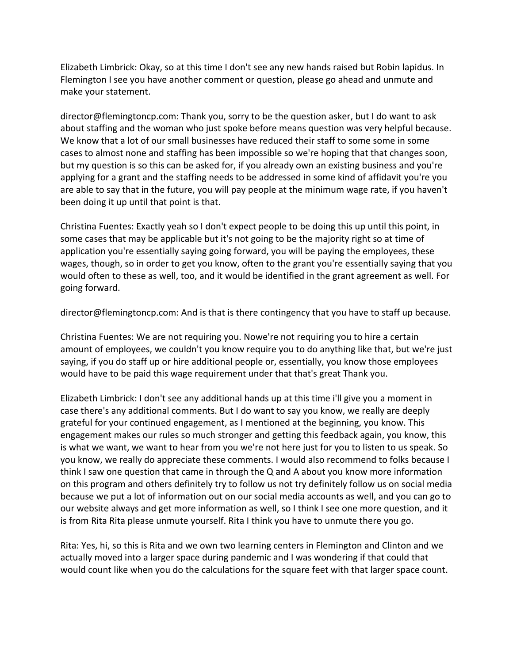Elizabeth Limbrick: Okay, so at this time I don't see any new hands raised but Robin lapidus. In Flemington I see you have another comment or question, please go ahead and unmute and make your statement.

director@flemingtoncp.com: Thank you, sorry to be the question asker, but I do want to ask about staffing and the woman who just spoke before means question was very helpful because. We know that a lot of our small businesses have reduced their staff to some some in some cases to almost none and staffing has been impossible so we're hoping that that changes soon, but my question is so this can be asked for, if you already own an existing business and you're applying for a grant and the staffing needs to be addressed in some kind of affidavit you're you are able to say that in the future, you will pay people at the minimum wage rate, if you haven't been doing it up until that point is that.

Christina Fuentes: Exactly yeah so I don't expect people to be doing this up until this point, in some cases that may be applicable but it's not going to be the majority right so at time of application you're essentially saying going forward, you will be paying the employees, these wages, though, so in order to get you know, often to the grant you're essentially saying that you would often to these as well, too, and it would be identified in the grant agreement as well. For going forward.

director@flemingtoncp.com: And is that is there contingency that you have to staff up because.

Christina Fuentes: We are not requiring you. Nowe're not requiring you to hire a certain amount of employees, we couldn't you know require you to do anything like that, but we're just saying, if you do staff up or hire additional people or, essentially, you know those employees would have to be paid this wage requirement under that that's great Thank you.

Elizabeth Limbrick: I don't see any additional hands up at this time i'll give you a moment in case there's any additional comments. But I do want to say you know, we really are deeply grateful for your continued engagement, as I mentioned at the beginning, you know. This engagement makes our rules so much stronger and getting this feedback again, you know, this is what we want, we want to hear from you we're not here just for you to listen to us speak. So you know, we really do appreciate these comments. I would also recommend to folks because I think I saw one question that came in through the Q and A about you know more information on this program and others definitely try to follow us not try definitely follow us on social media because we put a lot of information out on our social media accounts as well, and you can go to our website always and get more information as well, so I think I see one more question, and it is from Rita Rita please unmute yourself. Rita I think you have to unmute there you go.

Rita: Yes, hi, so this is Rita and we own two learning centers in Flemington and Clinton and we actually moved into a larger space during pandemic and I was wondering if that could that would count like when you do the calculations for the square feet with that larger space count.